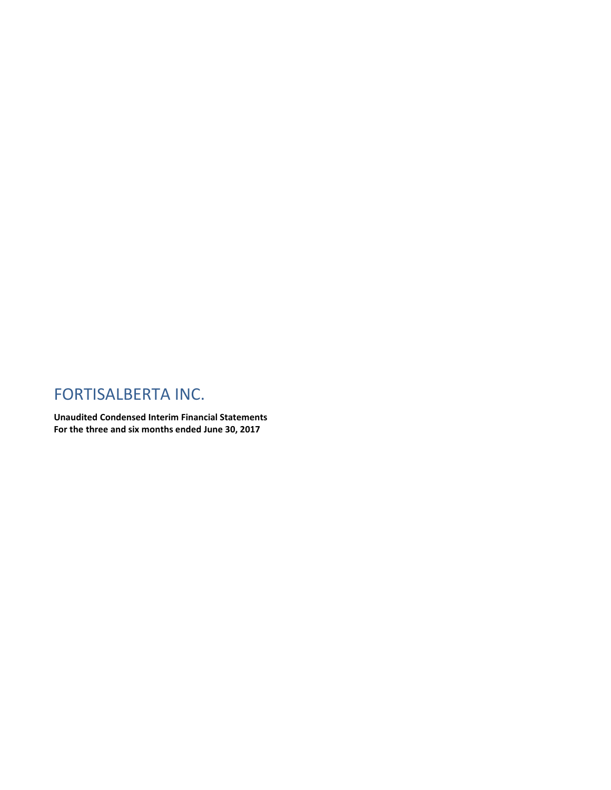## FORTISALBERTA INC.

**Unaudited Condensed Interim Financial Statements For the three and six months ended June 30, 2017**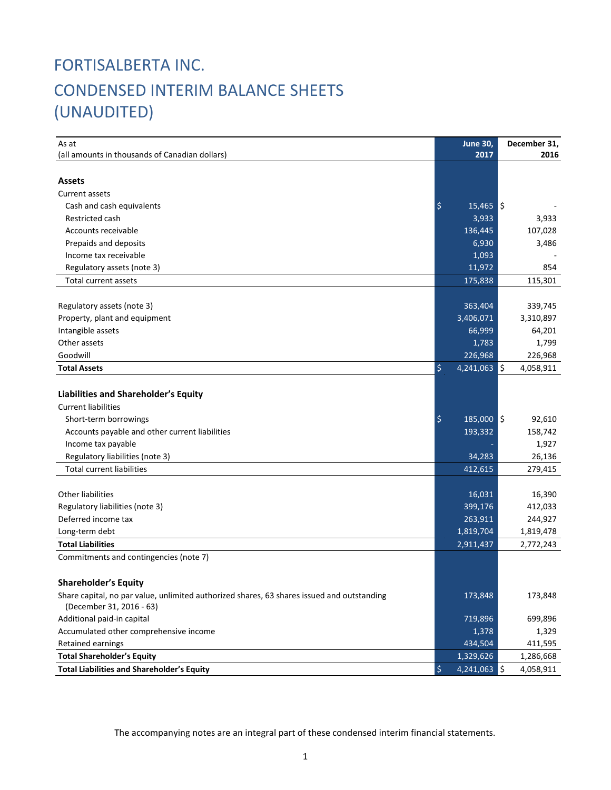## FORTISALBERTA INC. CONDENSED INTERIM BALANCE SHEETS (UNAUDITED)

| As at                                                                                      | <b>June 30,</b>      |     | December 31, |
|--------------------------------------------------------------------------------------------|----------------------|-----|--------------|
| (all amounts in thousands of Canadian dollars)                                             | 2017                 |     | 2016         |
|                                                                                            |                      |     |              |
| <b>Assets</b>                                                                              |                      |     |              |
| Current assets                                                                             |                      |     |              |
| Cash and cash equivalents                                                                  | \$<br>$15,465$ \$    |     |              |
| Restricted cash                                                                            | 3,933                |     | 3,933        |
| Accounts receivable                                                                        | 136,445              |     | 107,028      |
| Prepaids and deposits                                                                      | 6,930                |     | 3,486        |
| Income tax receivable                                                                      | 1,093                |     |              |
| Regulatory assets (note 3)                                                                 | 11,972               |     | 854          |
| <b>Total current assets</b>                                                                | 175,838              |     | 115,301      |
|                                                                                            |                      |     |              |
| Regulatory assets (note 3)                                                                 | 363,404              |     | 339,745      |
| Property, plant and equipment                                                              | 3,406,071            |     | 3,310,897    |
| Intangible assets                                                                          | 66,999               |     | 64,201       |
| Other assets                                                                               | 1,783                |     | 1,799        |
| Goodwill                                                                                   | 226,968              |     | 226,968      |
| <b>Total Assets</b>                                                                        | \$<br>4,241,063      | ۱\$ | 4,058,911    |
|                                                                                            |                      |     |              |
| Liabilities and Shareholder's Equity                                                       |                      |     |              |
| <b>Current liabilities</b>                                                                 |                      |     |              |
| Short-term borrowings                                                                      | \$<br>185,000 \$     |     | 92,610       |
| Accounts payable and other current liabilities                                             | 193,332              |     | 158,742      |
| Income tax payable                                                                         |                      |     | 1,927        |
| Regulatory liabilities (note 3)                                                            | 34,283               |     | 26,136       |
| Total current liabilities                                                                  | 412,615              |     | 279,415      |
|                                                                                            |                      |     |              |
| <b>Other liabilities</b>                                                                   | 16,031               |     | 16,390       |
| Regulatory liabilities (note 3)                                                            | 399,176              |     | 412,033      |
| Deferred income tax                                                                        | 263,911              |     | 244,927      |
| Long-term debt                                                                             | 1,819,704            |     | 1,819,478    |
| <b>Total Liabilities</b>                                                                   | 2,911,437            |     | 2,772,243    |
| Commitments and contingencies (note 7)                                                     |                      |     |              |
|                                                                                            |                      |     |              |
| <b>Shareholder's Equity</b>                                                                |                      |     |              |
| Share capital, no par value, unlimited authorized shares, 63 shares issued and outstanding | 173,848              |     | 173,848      |
| (December 31, 2016 - 63)                                                                   |                      |     |              |
| Additional paid-in capital                                                                 | 719,896              |     | 699,896      |
| Accumulated other comprehensive income                                                     | 1,378                |     | 1,329        |
| Retained earnings                                                                          | 434,504              |     | 411,595      |
| <b>Total Shareholder's Equity</b>                                                          | 1,329,626            |     | 1,286,668    |
| <b>Total Liabilities and Shareholder's Equity</b>                                          | \$<br>$4,241,063$ \$ |     | 4,058,911    |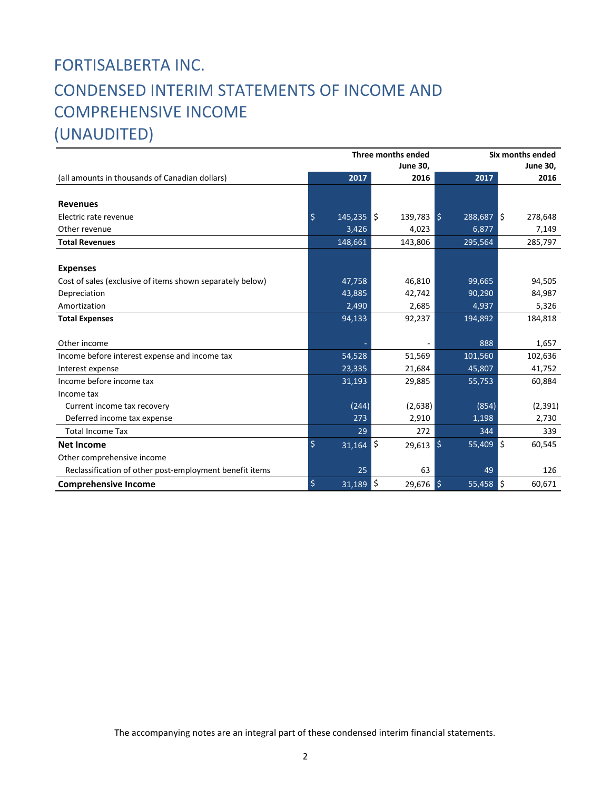## FORTISALBERTA INC. CONDENSED INTERIM STATEMENTS OF INCOME AND COMPREHENSIVE INCOME (UNAUDITED)

|                                                           | Three months ended      |    |                 | Six months ended               |     |          |  |  |
|-----------------------------------------------------------|-------------------------|----|-----------------|--------------------------------|-----|----------|--|--|
|                                                           |                         |    | <b>June 30,</b> | <b>June 30,</b>                |     |          |  |  |
| (all amounts in thousands of Canadian dollars)            | 2017                    |    | 2016            | 2017                           |     | 2016     |  |  |
|                                                           |                         |    |                 |                                |     |          |  |  |
| <b>Revenues</b>                                           |                         |    |                 |                                |     |          |  |  |
| Electric rate revenue                                     | $\zeta$<br>$145,235$ \$ |    | $139,783$ \$    | $288,687$ $\sqrt{\phantom{1}}$ |     | 278,648  |  |  |
| Other revenue                                             | 3,426                   |    | 4,023           | 6,877                          |     | 7,149    |  |  |
| <b>Total Revenues</b>                                     | 148,661                 |    | 143,806         | 295,564                        |     | 285,797  |  |  |
|                                                           |                         |    |                 |                                |     |          |  |  |
| <b>Expenses</b>                                           |                         |    |                 |                                |     |          |  |  |
| Cost of sales (exclusive of items shown separately below) | 47,758                  |    | 46,810          | 99,665                         |     | 94,505   |  |  |
| Depreciation                                              | 43,885                  |    | 42,742          | 90,290                         |     | 84,987   |  |  |
| Amortization                                              | 2,490                   |    | 2,685           | 4,937                          |     | 5,326    |  |  |
| <b>Total Expenses</b>                                     | 94,133                  |    | 92,237          | 194,892                        |     | 184,818  |  |  |
|                                                           |                         |    |                 |                                |     |          |  |  |
| Other income                                              |                         |    | $\blacksquare$  | 888                            |     | 1,657    |  |  |
| Income before interest expense and income tax             | 54,528                  |    | 51,569          | 101,560                        |     | 102,636  |  |  |
| Interest expense                                          | 23,335                  |    | 21,684          | 45,807                         |     | 41,752   |  |  |
| Income before income tax                                  | 31,193                  |    | 29,885          | 55,753                         |     | 60,884   |  |  |
| Income tax                                                |                         |    |                 |                                |     |          |  |  |
| Current income tax recovery                               | (244)                   |    | (2,638)         | (854)                          |     | (2, 391) |  |  |
| Deferred income tax expense                               | 273                     |    | 2,910           | 1,198                          |     | 2,730    |  |  |
| <b>Total Income Tax</b>                                   |                         | 29 | 272             | 344                            |     | 339      |  |  |
| <b>Net Income</b>                                         | \$<br>31,164            |    | l\$<br>29,613   | l \$<br>55,409                 | ١ś  | 60,545   |  |  |
| Other comprehensive income                                |                         |    |                 |                                |     |          |  |  |
| Reclassification of other post-employment benefit items   |                         | 25 | 63              | 49                             |     | 126      |  |  |
| <b>Comprehensive Income</b>                               | $\frac{1}{2}$<br>31,189 |    | \$<br>29,676    | $\frac{1}{2}$<br>55,458        | l\$ | 60,671   |  |  |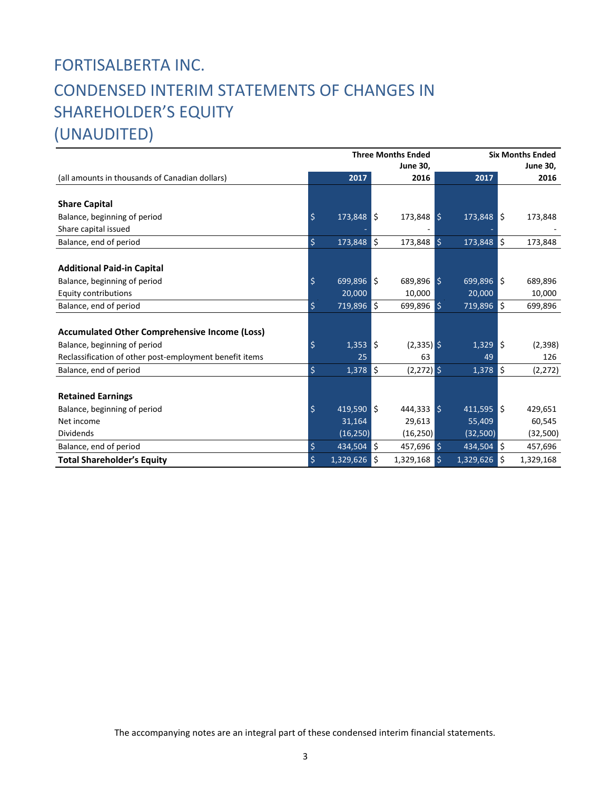# FORTISALBERTA INC. CONDENSED INTERIM STATEMENTS OF CHANGES IN SHAREHOLDER'S EQUITY

(UNAUDITED)

|                                                         |                    | <b>Three Months Ended</b> |     |                 | <b>Six Months Ended</b> |                         |     |                 |
|---------------------------------------------------------|--------------------|---------------------------|-----|-----------------|-------------------------|-------------------------|-----|-----------------|
|                                                         |                    |                           |     | <b>June 30,</b> |                         |                         |     | <b>June 30,</b> |
| (all amounts in thousands of Canadian dollars)          |                    | 2017                      |     | 2016            |                         | 2017                    |     | 2016            |
|                                                         |                    |                           |     |                 |                         |                         |     |                 |
| <b>Share Capital</b>                                    |                    |                           |     |                 |                         |                         |     |                 |
| Balance, beginning of period                            | \$                 | $173,848$ \$              |     | $173,848$ \$    |                         | $173,848$ $\frac{1}{5}$ |     | 173,848         |
| Share capital issued                                    |                    |                           |     |                 |                         |                         |     |                 |
| Balance, end of period                                  | \$                 | 173,848                   | l\$ | 173,848         | $\zeta$                 | 173,848                 | \$  | 173,848         |
|                                                         |                    |                           |     |                 |                         |                         |     |                 |
| <b>Additional Paid-in Capital</b>                       |                    |                           |     |                 |                         |                         |     |                 |
| Balance, beginning of period                            | \$                 | $699,896$ $\sqrt{5}$      |     | $689,896$ \$    |                         | $699,896$ \$            |     | 689,896         |
| <b>Equity contributions</b>                             |                    | 20,000                    |     | 10,000          |                         | 20,000                  |     | 10,000          |
| Balance, end of period                                  | \$                 | $719,896$ \$              |     | 699,896 \$      |                         | 719,896                 | ١\$ | 699,896         |
|                                                         |                    |                           |     |                 |                         |                         |     |                 |
| <b>Accumulated Other Comprehensive Income (Loss)</b>    |                    |                           |     |                 |                         |                         |     |                 |
| Balance, beginning of period                            | \$                 | 1,353                     | l\$ | $(2,335)$ \$    |                         | $1,329$ \$              |     | (2,398)         |
| Reclassification of other post-employment benefit items |                    | 25                        |     | 63              |                         | 49                      |     | 126             |
| Balance, end of period                                  | $\ddot{\varsigma}$ | $1,378$ \$                |     | $(2,272)$ \$    |                         | 1,378                   | l\$ | (2,272)         |
|                                                         |                    |                           |     |                 |                         |                         |     |                 |
| <b>Retained Earnings</b>                                |                    |                           |     |                 |                         |                         |     |                 |
| Balance, beginning of period                            | \$                 | 419,590 \$                |     | $444,333$ \$    |                         | $411,595$ \$            |     | 429,651         |
| Net income                                              |                    | 31,164                    |     | 29,613          |                         | 55,409                  |     | 60,545          |
| <b>Dividends</b>                                        |                    | (16, 250)                 |     | (16, 250)       |                         | (32,500)                |     | (32, 500)       |
| Balance, end of period                                  | \$                 | 434,504                   | ls. | 457,696         | $\mathsf{S}$            | 434,504                 | l\$ | 457,696         |
| <b>Total Shareholder's Equity</b>                       | \$                 | $1,329,626$ \$            |     | 1,329,168       | \$                      | 1,329,626               | \$  | 1,329,168       |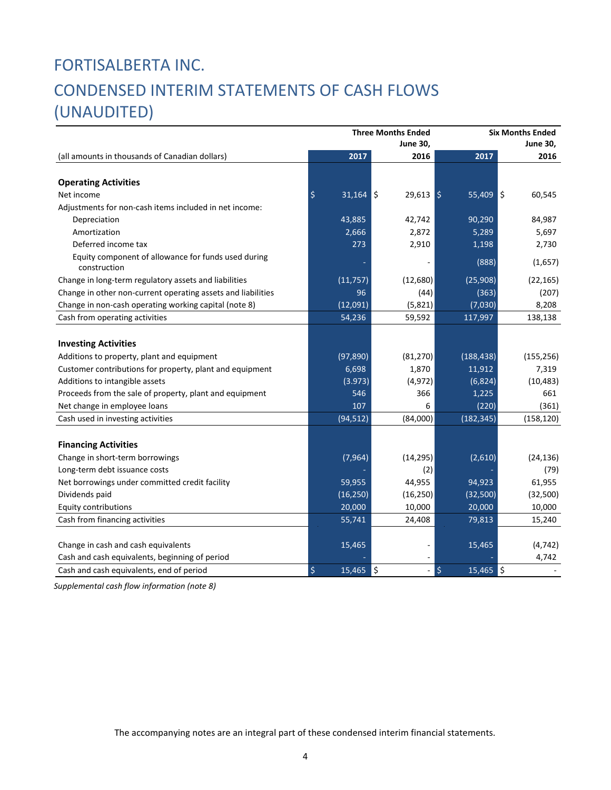# FORTISALBERTA INC. CONDENSED INTERIM STATEMENTS OF CASH FLOWS (UNAUDITED)

| <b>June 30,</b><br>June 30,<br>2017<br>2016<br>2017<br>2016<br>(all amounts in thousands of Canadian dollars)<br><b>Operating Activities</b><br>\$<br>l\$<br>Net income<br>31,164<br>$29,613$ \$<br>$55,409$ \$<br>60,545<br>Adjustments for non-cash items included in net income:<br>43,885<br>90,290<br>84,987<br>Depreciation<br>42,742<br>Amortization<br>2,666<br>2,872<br>5,289<br>5,697<br>2,910<br>Deferred income tax<br>273<br>1,198<br>2,730<br>Equity component of allowance for funds used during<br>(888)<br>(1,657)<br>construction<br>(12,680)<br>Change in long-term regulatory assets and liabilities<br>(11, 757)<br>(25,908)<br>(22, 165)<br>Change in other non-current operating assets and liabilities<br>96<br>(44)<br>(363)<br>(207)<br>(12,091)<br>(5,821)<br>(7,030)<br>Change in non-cash operating working capital (note 8)<br>8,208<br>54,236<br>117,997<br>Cash from operating activities<br>59,592<br>138,138<br><b>Investing Activities</b><br>(188, 438)<br>Additions to property, plant and equipment<br>(97, 890)<br>(81, 270)<br>(155, 256)<br>6,698<br>1,870<br>7,319<br>Customer contributions for property, plant and equipment<br>11,912<br>Additions to intangible assets<br>(3.973)<br>(4, 972)<br>(6,824)<br>(10, 483)<br>Proceeds from the sale of property, plant and equipment<br>546<br>366<br>661<br>1,225<br>Net change in employee loans<br>107<br>6<br>(220)<br>(361)<br>(84,000)<br>(182, 345)<br>(94, 512)<br>(158, 120)<br>Cash used in investing activities<br><b>Financing Activities</b><br>Change in short-term borrowings<br>(7, 964)<br>(14, 295)<br>(2,610)<br>(24, 136)<br>Long-term debt issuance costs<br>(2)<br>(79)<br>Net borrowings under committed credit facility<br>59,955<br>44,955<br>94,923<br>61,955<br>Dividends paid<br>(16, 250)<br>(16, 250)<br>(32,500)<br>(32,500)<br>20,000<br><b>Equity contributions</b><br>10,000<br>20,000<br>10,000<br>Cash from financing activities<br>55,741<br>24,408<br>79,813<br>15,240<br>Change in cash and cash equivalents<br>15,465<br>15,465<br>(4, 742)<br>Cash and cash equivalents, beginning of period<br>4,742<br>$15,465$ \$ |                                          |              | <b>Three Months Ended</b> | <b>Six Months Ended</b> |  |  |  |  |
|---------------------------------------------------------------------------------------------------------------------------------------------------------------------------------------------------------------------------------------------------------------------------------------------------------------------------------------------------------------------------------------------------------------------------------------------------------------------------------------------------------------------------------------------------------------------------------------------------------------------------------------------------------------------------------------------------------------------------------------------------------------------------------------------------------------------------------------------------------------------------------------------------------------------------------------------------------------------------------------------------------------------------------------------------------------------------------------------------------------------------------------------------------------------------------------------------------------------------------------------------------------------------------------------------------------------------------------------------------------------------------------------------------------------------------------------------------------------------------------------------------------------------------------------------------------------------------------------------------------------------------------------------------------------------------------------------------------------------------------------------------------------------------------------------------------------------------------------------------------------------------------------------------------------------------------------------------------------------------------------------------------------------------------------------------------------------------------------------------------------------------------------------------|------------------------------------------|--------------|---------------------------|-------------------------|--|--|--|--|
|                                                                                                                                                                                                                                                                                                                                                                                                                                                                                                                                                                                                                                                                                                                                                                                                                                                                                                                                                                                                                                                                                                                                                                                                                                                                                                                                                                                                                                                                                                                                                                                                                                                                                                                                                                                                                                                                                                                                                                                                                                                                                                                                                         |                                          |              |                           |                         |  |  |  |  |
|                                                                                                                                                                                                                                                                                                                                                                                                                                                                                                                                                                                                                                                                                                                                                                                                                                                                                                                                                                                                                                                                                                                                                                                                                                                                                                                                                                                                                                                                                                                                                                                                                                                                                                                                                                                                                                                                                                                                                                                                                                                                                                                                                         |                                          |              |                           |                         |  |  |  |  |
|                                                                                                                                                                                                                                                                                                                                                                                                                                                                                                                                                                                                                                                                                                                                                                                                                                                                                                                                                                                                                                                                                                                                                                                                                                                                                                                                                                                                                                                                                                                                                                                                                                                                                                                                                                                                                                                                                                                                                                                                                                                                                                                                                         |                                          |              |                           |                         |  |  |  |  |
|                                                                                                                                                                                                                                                                                                                                                                                                                                                                                                                                                                                                                                                                                                                                                                                                                                                                                                                                                                                                                                                                                                                                                                                                                                                                                                                                                                                                                                                                                                                                                                                                                                                                                                                                                                                                                                                                                                                                                                                                                                                                                                                                                         |                                          |              |                           |                         |  |  |  |  |
|                                                                                                                                                                                                                                                                                                                                                                                                                                                                                                                                                                                                                                                                                                                                                                                                                                                                                                                                                                                                                                                                                                                                                                                                                                                                                                                                                                                                                                                                                                                                                                                                                                                                                                                                                                                                                                                                                                                                                                                                                                                                                                                                                         |                                          |              |                           |                         |  |  |  |  |
|                                                                                                                                                                                                                                                                                                                                                                                                                                                                                                                                                                                                                                                                                                                                                                                                                                                                                                                                                                                                                                                                                                                                                                                                                                                                                                                                                                                                                                                                                                                                                                                                                                                                                                                                                                                                                                                                                                                                                                                                                                                                                                                                                         |                                          |              |                           |                         |  |  |  |  |
|                                                                                                                                                                                                                                                                                                                                                                                                                                                                                                                                                                                                                                                                                                                                                                                                                                                                                                                                                                                                                                                                                                                                                                                                                                                                                                                                                                                                                                                                                                                                                                                                                                                                                                                                                                                                                                                                                                                                                                                                                                                                                                                                                         |                                          |              |                           |                         |  |  |  |  |
|                                                                                                                                                                                                                                                                                                                                                                                                                                                                                                                                                                                                                                                                                                                                                                                                                                                                                                                                                                                                                                                                                                                                                                                                                                                                                                                                                                                                                                                                                                                                                                                                                                                                                                                                                                                                                                                                                                                                                                                                                                                                                                                                                         |                                          |              |                           |                         |  |  |  |  |
|                                                                                                                                                                                                                                                                                                                                                                                                                                                                                                                                                                                                                                                                                                                                                                                                                                                                                                                                                                                                                                                                                                                                                                                                                                                                                                                                                                                                                                                                                                                                                                                                                                                                                                                                                                                                                                                                                                                                                                                                                                                                                                                                                         |                                          |              |                           |                         |  |  |  |  |
|                                                                                                                                                                                                                                                                                                                                                                                                                                                                                                                                                                                                                                                                                                                                                                                                                                                                                                                                                                                                                                                                                                                                                                                                                                                                                                                                                                                                                                                                                                                                                                                                                                                                                                                                                                                                                                                                                                                                                                                                                                                                                                                                                         |                                          |              |                           |                         |  |  |  |  |
|                                                                                                                                                                                                                                                                                                                                                                                                                                                                                                                                                                                                                                                                                                                                                                                                                                                                                                                                                                                                                                                                                                                                                                                                                                                                                                                                                                                                                                                                                                                                                                                                                                                                                                                                                                                                                                                                                                                                                                                                                                                                                                                                                         |                                          |              |                           |                         |  |  |  |  |
|                                                                                                                                                                                                                                                                                                                                                                                                                                                                                                                                                                                                                                                                                                                                                                                                                                                                                                                                                                                                                                                                                                                                                                                                                                                                                                                                                                                                                                                                                                                                                                                                                                                                                                                                                                                                                                                                                                                                                                                                                                                                                                                                                         |                                          |              |                           |                         |  |  |  |  |
|                                                                                                                                                                                                                                                                                                                                                                                                                                                                                                                                                                                                                                                                                                                                                                                                                                                                                                                                                                                                                                                                                                                                                                                                                                                                                                                                                                                                                                                                                                                                                                                                                                                                                                                                                                                                                                                                                                                                                                                                                                                                                                                                                         |                                          |              |                           |                         |  |  |  |  |
|                                                                                                                                                                                                                                                                                                                                                                                                                                                                                                                                                                                                                                                                                                                                                                                                                                                                                                                                                                                                                                                                                                                                                                                                                                                                                                                                                                                                                                                                                                                                                                                                                                                                                                                                                                                                                                                                                                                                                                                                                                                                                                                                                         |                                          |              |                           |                         |  |  |  |  |
|                                                                                                                                                                                                                                                                                                                                                                                                                                                                                                                                                                                                                                                                                                                                                                                                                                                                                                                                                                                                                                                                                                                                                                                                                                                                                                                                                                                                                                                                                                                                                                                                                                                                                                                                                                                                                                                                                                                                                                                                                                                                                                                                                         |                                          |              |                           |                         |  |  |  |  |
|                                                                                                                                                                                                                                                                                                                                                                                                                                                                                                                                                                                                                                                                                                                                                                                                                                                                                                                                                                                                                                                                                                                                                                                                                                                                                                                                                                                                                                                                                                                                                                                                                                                                                                                                                                                                                                                                                                                                                                                                                                                                                                                                                         |                                          |              |                           |                         |  |  |  |  |
|                                                                                                                                                                                                                                                                                                                                                                                                                                                                                                                                                                                                                                                                                                                                                                                                                                                                                                                                                                                                                                                                                                                                                                                                                                                                                                                                                                                                                                                                                                                                                                                                                                                                                                                                                                                                                                                                                                                                                                                                                                                                                                                                                         |                                          |              |                           |                         |  |  |  |  |
|                                                                                                                                                                                                                                                                                                                                                                                                                                                                                                                                                                                                                                                                                                                                                                                                                                                                                                                                                                                                                                                                                                                                                                                                                                                                                                                                                                                                                                                                                                                                                                                                                                                                                                                                                                                                                                                                                                                                                                                                                                                                                                                                                         |                                          |              |                           |                         |  |  |  |  |
|                                                                                                                                                                                                                                                                                                                                                                                                                                                                                                                                                                                                                                                                                                                                                                                                                                                                                                                                                                                                                                                                                                                                                                                                                                                                                                                                                                                                                                                                                                                                                                                                                                                                                                                                                                                                                                                                                                                                                                                                                                                                                                                                                         |                                          |              |                           |                         |  |  |  |  |
|                                                                                                                                                                                                                                                                                                                                                                                                                                                                                                                                                                                                                                                                                                                                                                                                                                                                                                                                                                                                                                                                                                                                                                                                                                                                                                                                                                                                                                                                                                                                                                                                                                                                                                                                                                                                                                                                                                                                                                                                                                                                                                                                                         |                                          |              |                           |                         |  |  |  |  |
|                                                                                                                                                                                                                                                                                                                                                                                                                                                                                                                                                                                                                                                                                                                                                                                                                                                                                                                                                                                                                                                                                                                                                                                                                                                                                                                                                                                                                                                                                                                                                                                                                                                                                                                                                                                                                                                                                                                                                                                                                                                                                                                                                         |                                          |              |                           |                         |  |  |  |  |
|                                                                                                                                                                                                                                                                                                                                                                                                                                                                                                                                                                                                                                                                                                                                                                                                                                                                                                                                                                                                                                                                                                                                                                                                                                                                                                                                                                                                                                                                                                                                                                                                                                                                                                                                                                                                                                                                                                                                                                                                                                                                                                                                                         |                                          |              |                           |                         |  |  |  |  |
|                                                                                                                                                                                                                                                                                                                                                                                                                                                                                                                                                                                                                                                                                                                                                                                                                                                                                                                                                                                                                                                                                                                                                                                                                                                                                                                                                                                                                                                                                                                                                                                                                                                                                                                                                                                                                                                                                                                                                                                                                                                                                                                                                         |                                          |              |                           |                         |  |  |  |  |
|                                                                                                                                                                                                                                                                                                                                                                                                                                                                                                                                                                                                                                                                                                                                                                                                                                                                                                                                                                                                                                                                                                                                                                                                                                                                                                                                                                                                                                                                                                                                                                                                                                                                                                                                                                                                                                                                                                                                                                                                                                                                                                                                                         |                                          |              |                           |                         |  |  |  |  |
|                                                                                                                                                                                                                                                                                                                                                                                                                                                                                                                                                                                                                                                                                                                                                                                                                                                                                                                                                                                                                                                                                                                                                                                                                                                                                                                                                                                                                                                                                                                                                                                                                                                                                                                                                                                                                                                                                                                                                                                                                                                                                                                                                         |                                          |              |                           |                         |  |  |  |  |
|                                                                                                                                                                                                                                                                                                                                                                                                                                                                                                                                                                                                                                                                                                                                                                                                                                                                                                                                                                                                                                                                                                                                                                                                                                                                                                                                                                                                                                                                                                                                                                                                                                                                                                                                                                                                                                                                                                                                                                                                                                                                                                                                                         |                                          |              |                           |                         |  |  |  |  |
|                                                                                                                                                                                                                                                                                                                                                                                                                                                                                                                                                                                                                                                                                                                                                                                                                                                                                                                                                                                                                                                                                                                                                                                                                                                                                                                                                                                                                                                                                                                                                                                                                                                                                                                                                                                                                                                                                                                                                                                                                                                                                                                                                         |                                          |              |                           |                         |  |  |  |  |
|                                                                                                                                                                                                                                                                                                                                                                                                                                                                                                                                                                                                                                                                                                                                                                                                                                                                                                                                                                                                                                                                                                                                                                                                                                                                                                                                                                                                                                                                                                                                                                                                                                                                                                                                                                                                                                                                                                                                                                                                                                                                                                                                                         |                                          |              |                           |                         |  |  |  |  |
|                                                                                                                                                                                                                                                                                                                                                                                                                                                                                                                                                                                                                                                                                                                                                                                                                                                                                                                                                                                                                                                                                                                                                                                                                                                                                                                                                                                                                                                                                                                                                                                                                                                                                                                                                                                                                                                                                                                                                                                                                                                                                                                                                         |                                          |              |                           |                         |  |  |  |  |
|                                                                                                                                                                                                                                                                                                                                                                                                                                                                                                                                                                                                                                                                                                                                                                                                                                                                                                                                                                                                                                                                                                                                                                                                                                                                                                                                                                                                                                                                                                                                                                                                                                                                                                                                                                                                                                                                                                                                                                                                                                                                                                                                                         |                                          |              |                           |                         |  |  |  |  |
|                                                                                                                                                                                                                                                                                                                                                                                                                                                                                                                                                                                                                                                                                                                                                                                                                                                                                                                                                                                                                                                                                                                                                                                                                                                                                                                                                                                                                                                                                                                                                                                                                                                                                                                                                                                                                                                                                                                                                                                                                                                                                                                                                         |                                          |              |                           |                         |  |  |  |  |
|                                                                                                                                                                                                                                                                                                                                                                                                                                                                                                                                                                                                                                                                                                                                                                                                                                                                                                                                                                                                                                                                                                                                                                                                                                                                                                                                                                                                                                                                                                                                                                                                                                                                                                                                                                                                                                                                                                                                                                                                                                                                                                                                                         |                                          |              |                           |                         |  |  |  |  |
|                                                                                                                                                                                                                                                                                                                                                                                                                                                                                                                                                                                                                                                                                                                                                                                                                                                                                                                                                                                                                                                                                                                                                                                                                                                                                                                                                                                                                                                                                                                                                                                                                                                                                                                                                                                                                                                                                                                                                                                                                                                                                                                                                         | Cash and cash equivalents, end of period | \$<br>15,465 | ١s                        | $\ddot{\varsigma}$      |  |  |  |  |

*Supplemental cash flow information (note 8)*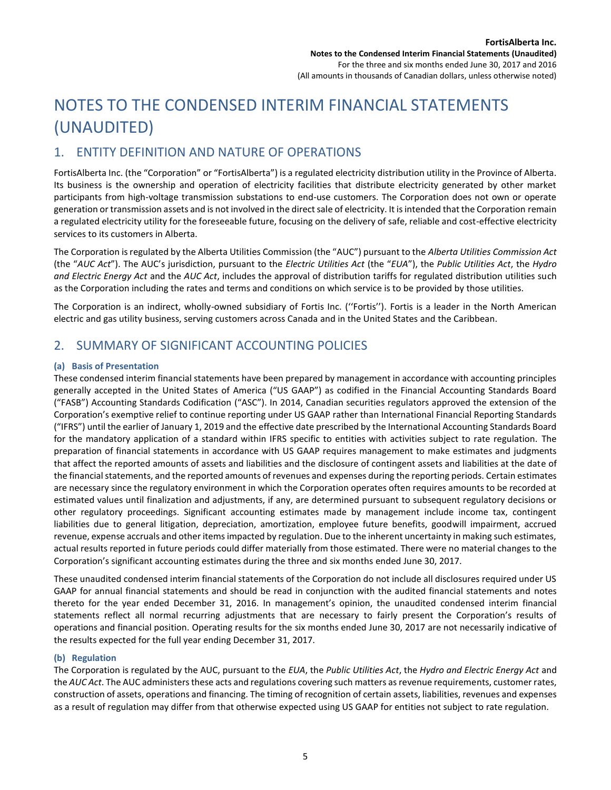## NOTES TO THE CONDENSED INTERIM FINANCIAL STATEMENTS (UNAUDITED)

### 1. ENTITY DEFINITION AND NATURE OF OPERATIONS

FortisAlberta Inc. (the "Corporation" or "FortisAlberta") is a regulated electricity distribution utility in the Province of Alberta. Its business is the ownership and operation of electricity facilities that distribute electricity generated by other market participants from high-voltage transmission substations to end-use customers. The Corporation does not own or operate generation or transmission assets and is not involved in the direct sale of electricity. It is intended that the Corporation remain a regulated electricity utility for the foreseeable future, focusing on the delivery of safe, reliable and cost-effective electricity services to its customers in Alberta.

The Corporation is regulated by the Alberta Utilities Commission (the "AUC") pursuant to the *Alberta Utilities Commission Act* (the "*AUC Act*"). The AUC's jurisdiction, pursuant to the *Electric Utilities Act* (the "*EUA*"), the *Public Utilities Act*, the *Hydro and Electric Energy Act* and the *AUC Act*, includes the approval of distribution tariffs for regulated distribution utilities such as the Corporation including the rates and terms and conditions on which service is to be provided by those utilities.

The Corporation is an indirect, wholly-owned subsidiary of Fortis Inc. (''Fortis''). Fortis is a leader in the North American electric and gas utility business, serving customers across Canada and in the United States and the Caribbean.

### 2. SUMMARY OF SIGNIFICANT ACCOUNTING POLICIES

#### **(a) Basis of Presentation**

These condensed interim financial statements have been prepared by management in accordance with accounting principles generally accepted in the United States of America ("US GAAP") as codified in the Financial Accounting Standards Board ("FASB") Accounting Standards Codification ("ASC"). In 2014, Canadian securities regulators approved the extension of the Corporation's exemptive relief to continue reporting under US GAAP rather than International Financial Reporting Standards ("IFRS") until the earlier of January 1, 2019 and the effective date prescribed by the International Accounting Standards Board for the mandatory application of a standard within IFRS specific to entities with activities subject to rate regulation. The preparation of financial statements in accordance with US GAAP requires management to make estimates and judgments that affect the reported amounts of assets and liabilities and the disclosure of contingent assets and liabilities at the date of the financial statements, and the reported amounts of revenues and expenses during the reporting periods. Certain estimates are necessary since the regulatory environment in which the Corporation operates often requires amounts to be recorded at estimated values until finalization and adjustments, if any, are determined pursuant to subsequent regulatory decisions or other regulatory proceedings. Significant accounting estimates made by management include income tax, contingent liabilities due to general litigation, depreciation, amortization, employee future benefits, goodwill impairment, accrued revenue, expense accruals and other items impacted by regulation. Due to the inherent uncertainty in making such estimates, actual results reported in future periods could differ materially from those estimated. There were no material changes to the Corporation's significant accounting estimates during the three and six months ended June 30, 2017.

These unaudited condensed interim financial statements of the Corporation do not include all disclosures required under US GAAP for annual financial statements and should be read in conjunction with the audited financial statements and notes thereto for the year ended December 31, 2016. In management's opinion, the unaudited condensed interim financial statements reflect all normal recurring adjustments that are necessary to fairly present the Corporation's results of operations and financial position. Operating results for the six months ended June 30, 2017 are not necessarily indicative of the results expected for the full year ending December 31, 2017.

#### **(b) Regulation**

The Corporation is regulated by the AUC, pursuant to the *EUA*, the *Public Utilities Act*, the *Hydro and Electric Energy Act* and the *AUC Act*. The AUC administers these acts and regulations covering such matters as revenue requirements, customer rates, construction of assets, operations and financing. The timing of recognition of certain assets, liabilities, revenues and expenses as a result of regulation may differ from that otherwise expected using US GAAP for entities not subject to rate regulation.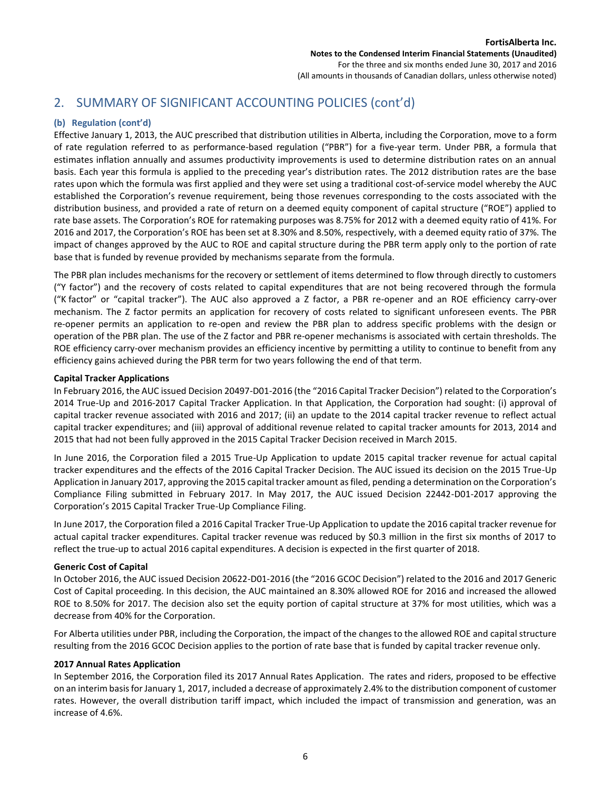#### **(b) Regulation (cont'd)**

Effective January 1, 2013, the AUC prescribed that distribution utilities in Alberta, including the Corporation, move to a form of rate regulation referred to as performance-based regulation ("PBR") for a five-year term. Under PBR, a formula that estimates inflation annually and assumes productivity improvements is used to determine distribution rates on an annual basis. Each year this formula is applied to the preceding year's distribution rates. The 2012 distribution rates are the base rates upon which the formula was first applied and they were set using a traditional cost-of-service model whereby the AUC established the Corporation's revenue requirement, being those revenues corresponding to the costs associated with the distribution business, and provided a rate of return on a deemed equity component of capital structure ("ROE") applied to rate base assets. The Corporation's ROE for ratemaking purposes was 8.75% for 2012 with a deemed equity ratio of 41%. For 2016 and 2017, the Corporation's ROE has been set at 8.30% and 8.50%, respectively, with a deemed equity ratio of 37%. The impact of changes approved by the AUC to ROE and capital structure during the PBR term apply only to the portion of rate base that is funded by revenue provided by mechanisms separate from the formula.

The PBR plan includes mechanisms for the recovery or settlement of items determined to flow through directly to customers ("Y factor") and the recovery of costs related to capital expenditures that are not being recovered through the formula ("K factor" or "capital tracker"). The AUC also approved a Z factor, a PBR re-opener and an ROE efficiency carry-over mechanism. The Z factor permits an application for recovery of costs related to significant unforeseen events. The PBR re-opener permits an application to re-open and review the PBR plan to address specific problems with the design or operation of the PBR plan. The use of the Z factor and PBR re-opener mechanisms is associated with certain thresholds. The ROE efficiency carry-over mechanism provides an efficiency incentive by permitting a utility to continue to benefit from any efficiency gains achieved during the PBR term for two years following the end of that term.

#### **Capital Tracker Applications**

In February 2016, the AUC issued Decision 20497-D01-2016 (the "2016 Capital Tracker Decision") related to the Corporation's 2014 True-Up and 2016-2017 Capital Tracker Application. In that Application, the Corporation had sought: (i) approval of capital tracker revenue associated with 2016 and 2017; (ii) an update to the 2014 capital tracker revenue to reflect actual capital tracker expenditures; and (iii) approval of additional revenue related to capital tracker amounts for 2013, 2014 and 2015 that had not been fully approved in the 2015 Capital Tracker Decision received in March 2015.

In June 2016, the Corporation filed a 2015 True-Up Application to update 2015 capital tracker revenue for actual capital tracker expenditures and the effects of the 2016 Capital Tracker Decision. The AUC issued its decision on the 2015 True-Up Application in January 2017, approving the 2015 capital tracker amount as filed, pending a determination on the Corporation's Compliance Filing submitted in February 2017. In May 2017, the AUC issued Decision 22442-D01-2017 approving the Corporation's 2015 Capital Tracker True-Up Compliance Filing.

In June 2017, the Corporation filed a 2016 Capital Tracker True-Up Application to update the 2016 capital tracker revenue for actual capital tracker expenditures. Capital tracker revenue was reduced by \$0.3 million in the first six months of 2017 to reflect the true-up to actual 2016 capital expenditures. A decision is expected in the first quarter of 2018.

#### **Generic Cost of Capital**

In October 2016, the AUC issued Decision 20622-D01-2016 (the "2016 GCOC Decision") related to the 2016 and 2017 Generic Cost of Capital proceeding. In this decision, the AUC maintained an 8.30% allowed ROE for 2016 and increased the allowed ROE to 8.50% for 2017. The decision also set the equity portion of capital structure at 37% for most utilities, which was a decrease from 40% for the Corporation.

For Alberta utilities under PBR, including the Corporation, the impact of the changes to the allowed ROE and capital structure resulting from the 2016 GCOC Decision applies to the portion of rate base that is funded by capital tracker revenue only.

#### **2017 Annual Rates Application**

In September 2016, the Corporation filed its 2017 Annual Rates Application. The rates and riders, proposed to be effective on an interim basis for January 1, 2017, included a decrease of approximately 2.4% to the distribution component of customer rates. However, the overall distribution tariff impact, which included the impact of transmission and generation, was an increase of 4.6%.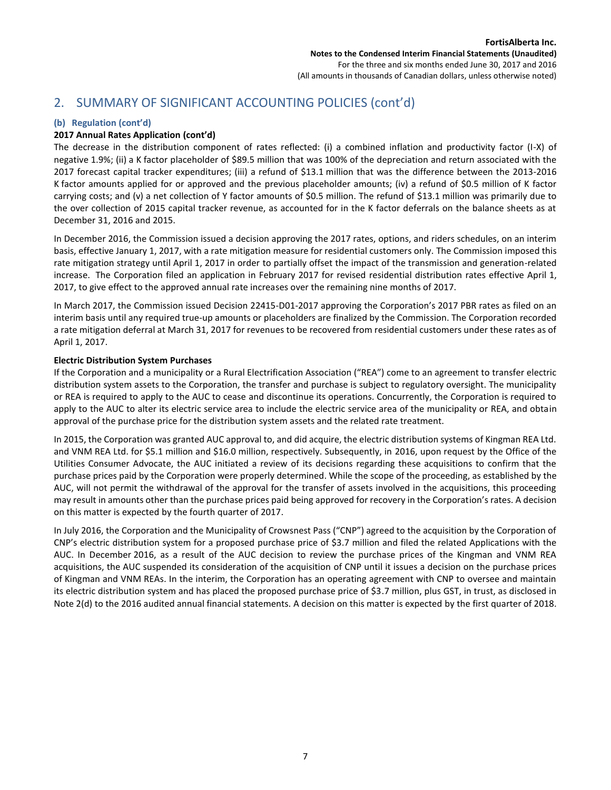#### **(b) Regulation (cont'd)**

#### **2017 Annual Rates Application (cont'd)**

The decrease in the distribution component of rates reflected: (i) a combined inflation and productivity factor (I-X) of negative 1.9%; (ii) a K factor placeholder of \$89.5 million that was 100% of the depreciation and return associated with the 2017 forecast capital tracker expenditures; (iii) a refund of \$13.1 million that was the difference between the 2013-2016 K factor amounts applied for or approved and the previous placeholder amounts; (iv) a refund of \$0.5 million of K factor carrying costs; and (v) a net collection of Y factor amounts of \$0.5 million. The refund of \$13.1 million was primarily due to the over collection of 2015 capital tracker revenue, as accounted for in the K factor deferrals on the balance sheets as at December 31, 2016 and 2015.

In December 2016, the Commission issued a decision approving the 2017 rates, options, and riders schedules, on an interim basis, effective January 1, 2017, with a rate mitigation measure for residential customers only. The Commission imposed this rate mitigation strategy until April 1, 2017 in order to partially offset the impact of the transmission and generation-related increase. The Corporation filed an application in February 2017 for revised residential distribution rates effective April 1, 2017, to give effect to the approved annual rate increases over the remaining nine months of 2017.

In March 2017, the Commission issued Decision 22415-D01-2017 approving the Corporation's 2017 PBR rates as filed on an interim basis until any required true-up amounts or placeholders are finalized by the Commission. The Corporation recorded a rate mitigation deferral at March 31, 2017 for revenues to be recovered from residential customers under these rates as of April 1, 2017.

#### **Electric Distribution System Purchases**

If the Corporation and a municipality or a Rural Electrification Association ("REA") come to an agreement to transfer electric distribution system assets to the Corporation, the transfer and purchase is subject to regulatory oversight. The municipality or REA is required to apply to the AUC to cease and discontinue its operations. Concurrently, the Corporation is required to apply to the AUC to alter its electric service area to include the electric service area of the municipality or REA, and obtain approval of the purchase price for the distribution system assets and the related rate treatment.

In 2015, the Corporation was granted AUC approval to, and did acquire, the electric distribution systems of Kingman REA Ltd. and VNM REA Ltd. for \$5.1 million and \$16.0 million, respectively. Subsequently, in 2016, upon request by the Office of the Utilities Consumer Advocate, the AUC initiated a review of its decisions regarding these acquisitions to confirm that the purchase prices paid by the Corporation were properly determined. While the scope of the proceeding, as established by the AUC, will not permit the withdrawal of the approval for the transfer of assets involved in the acquisitions, this proceeding may result in amounts other than the purchase prices paid being approved for recovery in the Corporation's rates. A decision on this matter is expected by the fourth quarter of 2017.

In July 2016, the Corporation and the Municipality of Crowsnest Pass ("CNP") agreed to the acquisition by the Corporation of CNP's electric distribution system for a proposed purchase price of \$3.7 million and filed the related Applications with the AUC. In December 2016, as a result of the AUC decision to review the purchase prices of the Kingman and VNM REA acquisitions, the AUC suspended its consideration of the acquisition of CNP until it issues a decision on the purchase prices of Kingman and VNM REAs. In the interim, the Corporation has an operating agreement with CNP to oversee and maintain its electric distribution system and has placed the proposed purchase price of \$3.7 million, plus GST, in trust, as disclosed in Note 2(d) to the 2016 audited annual financial statements. A decision on this matter is expected by the first quarter of 2018.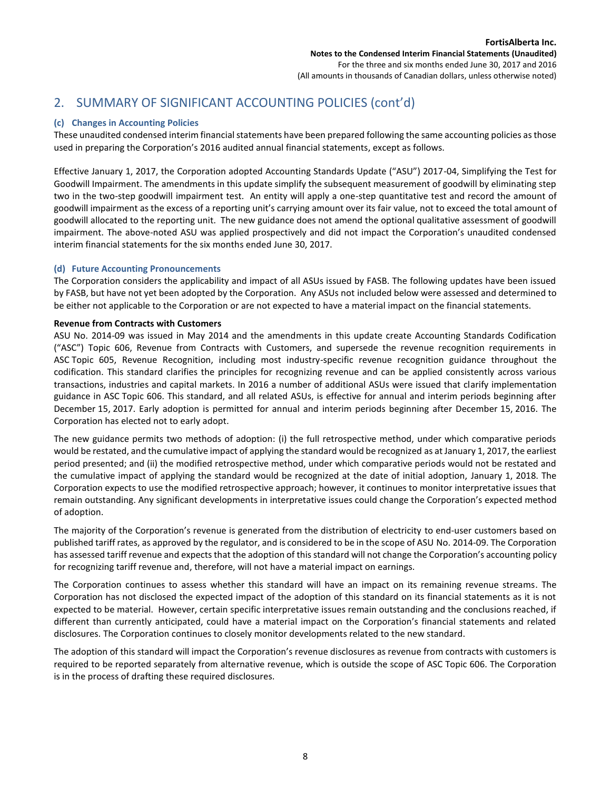#### **(c) Changes in Accounting Policies**

These unaudited condensed interim financial statements have been prepared following the same accounting policies as those used in preparing the Corporation's 2016 audited annual financial statements, except as follows.

Effective January 1, 2017, the Corporation adopted Accounting Standards Update ("ASU") 2017-04, Simplifying the Test for Goodwill Impairment. The amendments in this update simplify the subsequent measurement of goodwill by eliminating step two in the two-step goodwill impairment test. An entity will apply a one-step quantitative test and record the amount of goodwill impairment as the excess of a reporting unit's carrying amount over its fair value, not to exceed the total amount of goodwill allocated to the reporting unit. The new guidance does not amend the optional qualitative assessment of goodwill impairment. The above-noted ASU was applied prospectively and did not impact the Corporation's unaudited condensed interim financial statements for the six months ended June 30, 2017.

#### **(d) Future Accounting Pronouncements**

The Corporation considers the applicability and impact of all ASUs issued by FASB. The following updates have been issued by FASB, but have not yet been adopted by the Corporation. Any ASUs not included below were assessed and determined to be either not applicable to the Corporation or are not expected to have a material impact on the financial statements.

#### **Revenue from Contracts with Customers**

ASU No. 2014-09 was issued in May 2014 and the amendments in this update create Accounting Standards Codification ("ASC") Topic 606, Revenue from Contracts with Customers, and supersede the revenue recognition requirements in ASC Topic 605, Revenue Recognition, including most industry-specific revenue recognition guidance throughout the codification. This standard clarifies the principles for recognizing revenue and can be applied consistently across various transactions, industries and capital markets. In 2016 a number of additional ASUs were issued that clarify implementation guidance in ASC Topic 606. This standard, and all related ASUs, is effective for annual and interim periods beginning after December 15, 2017. Early adoption is permitted for annual and interim periods beginning after December 15, 2016. The Corporation has elected not to early adopt.

The new guidance permits two methods of adoption: (i) the full retrospective method, under which comparative periods would be restated, and the cumulative impact of applying the standard would be recognized as at January 1, 2017, the earliest period presented; and (ii) the modified retrospective method, under which comparative periods would not be restated and the cumulative impact of applying the standard would be recognized at the date of initial adoption, January 1, 2018. The Corporation expects to use the modified retrospective approach; however, it continues to monitor interpretative issues that remain outstanding. Any significant developments in interpretative issues could change the Corporation's expected method of adoption.

The majority of the Corporation's revenue is generated from the distribution of electricity to end-user customers based on published tariff rates, as approved by the regulator, and is considered to be in the scope of ASU No. 2014-09. The Corporation has assessed tariff revenue and expects that the adoption of this standard will not change the Corporation's accounting policy for recognizing tariff revenue and, therefore, will not have a material impact on earnings.

The Corporation continues to assess whether this standard will have an impact on its remaining revenue streams. The Corporation has not disclosed the expected impact of the adoption of this standard on its financial statements as it is not expected to be material. However, certain specific interpretative issues remain outstanding and the conclusions reached, if different than currently anticipated, could have a material impact on the Corporation's financial statements and related disclosures. The Corporation continues to closely monitor developments related to the new standard.

The adoption of this standard will impact the Corporation's revenue disclosures as revenue from contracts with customers is required to be reported separately from alternative revenue, which is outside the scope of ASC Topic 606. The Corporation is in the process of drafting these required disclosures.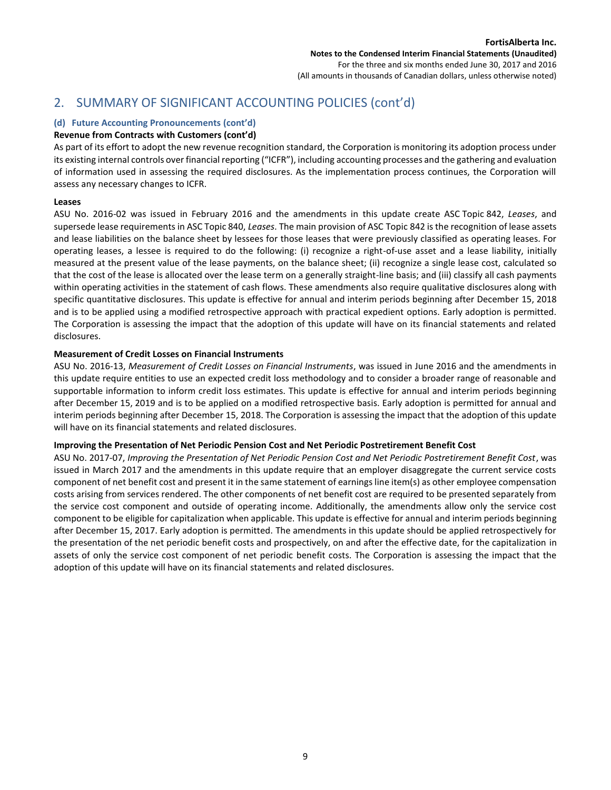#### **(d) Future Accounting Pronouncements (cont'd)**

#### **Revenue from Contracts with Customers (cont'd)**

As part of its effort to adopt the new revenue recognition standard, the Corporation is monitoring its adoption process under its existing internal controls over financial reporting ("ICFR"), including accounting processes and the gathering and evaluation of information used in assessing the required disclosures. As the implementation process continues, the Corporation will assess any necessary changes to ICFR.

#### **Leases**

ASU No. 2016-02 was issued in February 2016 and the amendments in this update create ASC Topic 842, *Leases*, and supersede lease requirements in ASC Topic 840, *Leases*. The main provision of ASC Topic 842 is the recognition of lease assets and lease liabilities on the balance sheet by lessees for those leases that were previously classified as operating leases. For operating leases, a lessee is required to do the following: (i) recognize a right-of-use asset and a lease liability, initially measured at the present value of the lease payments, on the balance sheet; (ii) recognize a single lease cost, calculated so that the cost of the lease is allocated over the lease term on a generally straight-line basis; and (iii) classify all cash payments within operating activities in the statement of cash flows. These amendments also require qualitative disclosures along with specific quantitative disclosures. This update is effective for annual and interim periods beginning after December 15, 2018 and is to be applied using a modified retrospective approach with practical expedient options. Early adoption is permitted. The Corporation is assessing the impact that the adoption of this update will have on its financial statements and related disclosures.

#### **Measurement of Credit Losses on Financial Instruments**

ASU No. 2016-13, *Measurement of Credit Losses on Financial Instruments*, was issued in June 2016 and the amendments in this update require entities to use an expected credit loss methodology and to consider a broader range of reasonable and supportable information to inform credit loss estimates. This update is effective for annual and interim periods beginning after December 15, 2019 and is to be applied on a modified retrospective basis. Early adoption is permitted for annual and interim periods beginning after December 15, 2018. The Corporation is assessing the impact that the adoption of this update will have on its financial statements and related disclosures.

#### **Improving the Presentation of Net Periodic Pension Cost and Net Periodic Postretirement Benefit Cost**

ASU No. 2017-07, *Improving the Presentation of Net Periodic Pension Cost and Net Periodic Postretirement Benefit Cost*, was issued in March 2017 and the amendments in this update require that an employer disaggregate the current service costs component of net benefit cost and present it in the same statement of earnings line item(s) as other employee compensation costs arising from services rendered. The other components of net benefit cost are required to be presented separately from the service cost component and outside of operating income. Additionally, the amendments allow only the service cost component to be eligible for capitalization when applicable. This update is effective for annual and interim periods beginning after December 15, 2017. Early adoption is permitted. The amendments in this update should be applied retrospectively for the presentation of the net periodic benefit costs and prospectively, on and after the effective date, for the capitalization in assets of only the service cost component of net periodic benefit costs. The Corporation is assessing the impact that the adoption of this update will have on its financial statements and related disclosures.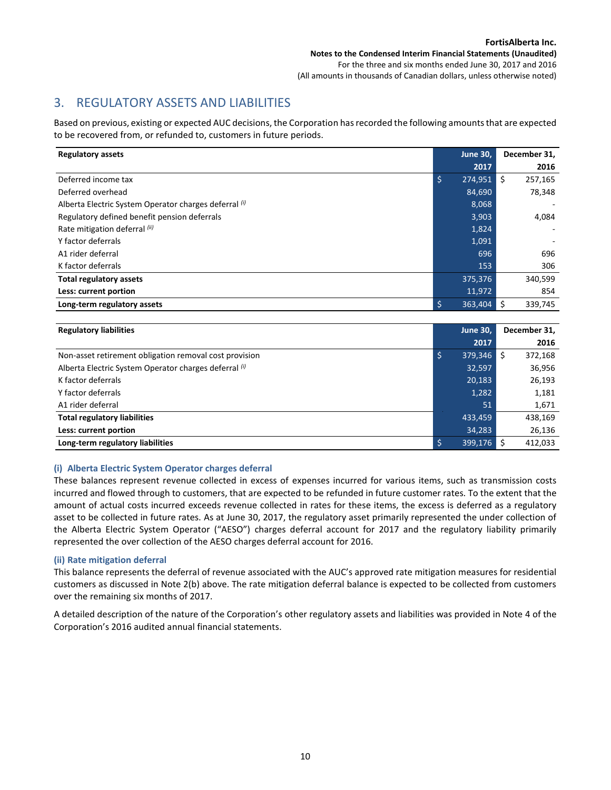## 3. REGULATORY ASSETS AND LIABILITIES

Based on previous, existing or expected AUC decisions, the Corporation has recorded the following amounts that are expected to be recovered from, or refunded to, customers in future periods.

| <b>Regulatory assets</b>                              | <b>June 30,</b> | December 31,    |
|-------------------------------------------------------|-----------------|-----------------|
|                                                       | 2017            | 2016            |
| Deferred income tax                                   | '\$,<br>274,951 | l \$<br>257,165 |
| Deferred overhead                                     | 84,690          | 78,348          |
| Alberta Electric System Operator charges deferral (i) | 8,068           |                 |
| Regulatory defined benefit pension deferrals          | 3,903           | 4,084           |
| Rate mitigation deferral (ii)                         | 1,824           |                 |
| Y factor deferrals                                    | 1,091           |                 |
| A1 rider deferral                                     | 696             | 696             |
| K factor deferrals                                    | 153             | 306             |
| <b>Total regulatory assets</b>                        | 375,376         | 340,599         |
| Less: current portion                                 | 11,972          | 854             |
| Long-term regulatory assets                           | 363,404         | l \$<br>339,745 |

| <b>Regulatory liabilities</b>                          | <b>June 30,</b> |    | December 31, |
|--------------------------------------------------------|-----------------|----|--------------|
|                                                        | 2017            |    | 2016         |
| Non-asset retirement obligation removal cost provision | 379,346         | -Ś | 372,168      |
| Alberta Electric System Operator charges deferral (i)  | 32,597          |    | 36,956       |
| K factor deferrals                                     | 20,183          |    | 26,193       |
| Y factor deferrals                                     | 1,282           |    | 1,181        |
| A1 rider deferral                                      | 51              |    | 1,671        |
| <b>Total regulatory liabilities</b>                    | 433,459         |    | 438,169      |
| Less: current portion                                  | 34,283          |    | 26,136       |
| Long-term regulatory liabilities                       | 399,176         |    | 412.033      |

#### **(i) Alberta Electric System Operator charges deferral**

These balances represent revenue collected in excess of expenses incurred for various items, such as transmission costs incurred and flowed through to customers, that are expected to be refunded in future customer rates. To the extent that the amount of actual costs incurred exceeds revenue collected in rates for these items, the excess is deferred as a regulatory asset to be collected in future rates. As at June 30, 2017, the regulatory asset primarily represented the under collection of the Alberta Electric System Operator ("AESO") charges deferral account for 2017 and the regulatory liability primarily represented the over collection of the AESO charges deferral account for 2016.

#### **(ii) Rate mitigation deferral**

This balance represents the deferral of revenue associated with the AUC's approved rate mitigation measures for residential customers as discussed in Note 2(b) above. The rate mitigation deferral balance is expected to be collected from customers over the remaining six months of 2017.

A detailed description of the nature of the Corporation's other regulatory assets and liabilities was provided in Note 4 of the Corporation's 2016 audited annual financial statements.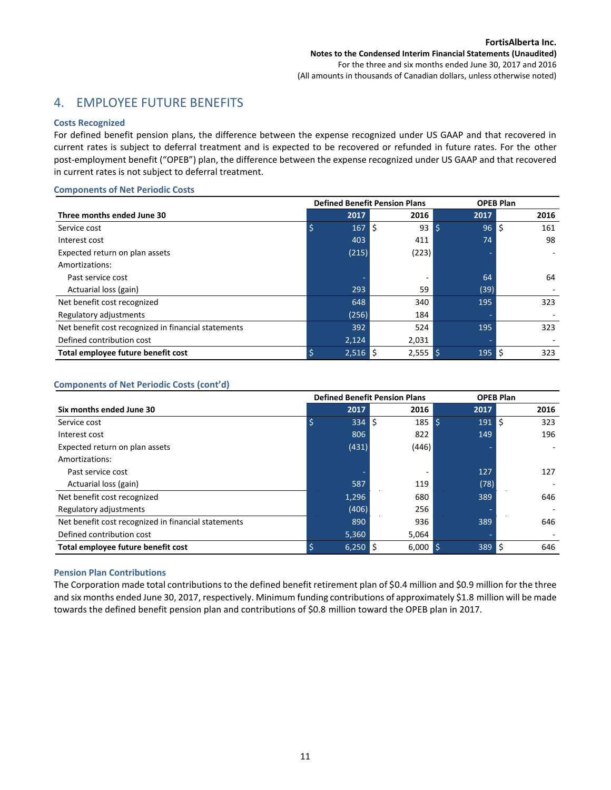## 4. EMPLOYEE FUTURE BENEFITS

#### **Costs Recognized**

For defined benefit pension plans, the difference between the expense recognized under US GAAP and that recovered in current rates is subject to deferral treatment and is expected to be recovered or refunded in future rates. For the other post-employment benefit ("OPEB") plan, the difference between the expense recognized under US GAAP and that recovered in current rates is not subject to deferral treatment.

#### **Components of Net Periodic Costs**

|                                                     |       | <b>Defined Benefit Pension Plans</b> |            | <b>OPEB Plan</b> |
|-----------------------------------------------------|-------|--------------------------------------|------------|------------------|
| Three months ended June 30                          | 2017  | 2016                                 | 2017       | 2016             |
| Service cost                                        | 167   | \$<br>93                             | 96<br>l \$ | Ś<br>161         |
| Interest cost                                       | 403   | 411                                  | 74         | 98               |
| Expected return on plan assets                      | (215) | (223)                                |            |                  |
| Amortizations:                                      |       |                                      |            |                  |
| Past service cost                                   |       |                                      | 64         | 64               |
| Actuarial loss (gain)                               | 293   | 59                                   | (39)       |                  |
| Net benefit cost recognized                         | 648   | 340                                  | 195        | 323              |
| Regulatory adjustments                              | (256) | 184                                  |            |                  |
| Net benefit cost recognized in financial statements | 392   | 524                                  | 195        | 323              |
| Defined contribution cost                           | 2,124 | 2,031                                | ٠          |                  |
| Total employee future benefit cost                  | 2,516 | $2,555$ \$<br>IS.                    | 195        | 323<br>l S       |

#### **Components of Net Periodic Costs (cont'd)**

|                                                     | <b>Defined Benefit Pension Plans</b> |       |                   |                                 |      | <b>OPEB Plan</b> |
|-----------------------------------------------------|--------------------------------------|-------|-------------------|---------------------------------|------|------------------|
| Six months ended June 30                            |                                      | 2017  | 2016              |                                 | 2017 | 2016             |
| Service cost                                        |                                      | 334   | l ś               | $185 \overline{\smash{\big)} }$ | 191  | l ś<br>323       |
| Interest cost                                       |                                      | 806   | 822               |                                 | 149  | 196              |
| Expected return on plan assets                      |                                      | (431) | (446)             |                                 | ۰    |                  |
| Amortizations:                                      |                                      |       |                   |                                 |      |                  |
| Past service cost                                   |                                      |       |                   |                                 | 127  | 127              |
| Actuarial loss (gain)                               |                                      | 587   | 119               |                                 | (78) |                  |
| Net benefit cost recognized                         |                                      | 1,296 | 680               |                                 | 389  | 646              |
| Regulatory adjustments                              |                                      | (406) | 256               |                                 |      |                  |
| Net benefit cost recognized in financial statements |                                      | 890   | 936               |                                 | 389  | 646              |
| Defined contribution cost                           |                                      | 5,360 | 5,064             |                                 | ٠    |                  |
| Total employee future benefit cost                  |                                      | 6,250 | $6,000$ \$<br>IS. |                                 | 389  | 646<br>l S       |

#### **Pension Plan Contributions**

The Corporation made total contributions to the defined benefit retirement plan of \$0.4 million and \$0.9 million for the three and six months ended June 30, 2017, respectively. Minimum funding contributions of approximately \$1.8 million will be made towards the defined benefit pension plan and contributions of \$0.8 million toward the OPEB plan in 2017.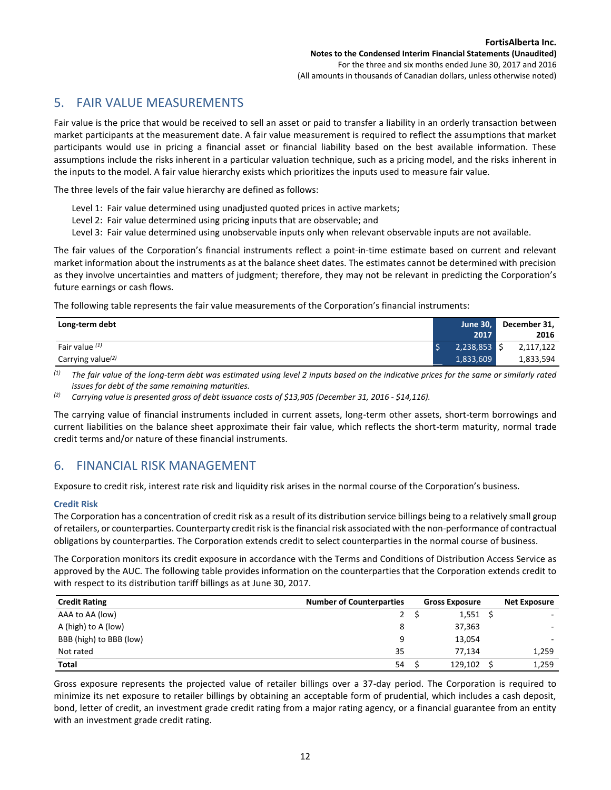## 5. FAIR VALUE MEASUREMENTS

Fair value is the price that would be received to sell an asset or paid to transfer a liability in an orderly transaction between market participants at the measurement date. A fair value measurement is required to reflect the assumptions that market participants would use in pricing a financial asset or financial liability based on the best available information. These assumptions include the risks inherent in a particular valuation technique, such as a pricing model, and the risks inherent in the inputs to the model. A fair value hierarchy exists which prioritizes the inputs used to measure fair value.

The three levels of the fair value hierarchy are defined as follows:

- Level 1: Fair value determined using unadjusted quoted prices in active markets;
- Level 2: Fair value determined using pricing inputs that are observable; and
- Level 3: Fair value determined using unobservable inputs only when relevant observable inputs are not available.

The fair values of the Corporation's financial instruments reflect a point-in-time estimate based on current and relevant market information about the instruments as at the balance sheet dates. The estimates cannot be determined with precision as they involve uncertainties and matters of judgment; therefore, they may not be relevant in predicting the Corporation's future earnings or cash flows.

The following table represents the fair value measurements of the Corporation's financial instruments:

| Long-term debt                | <b>June 30,</b> | December 31, |
|-------------------------------|-----------------|--------------|
|                               | 2017            | 2016         |
| Fair value $(1)$              | 2,238,853       | 2,117,122    |
| Carrying value <sup>(2)</sup> | 1,833,609       | 1,833,594    |

*(1) The fair value of the long-term debt was estimated using level 2 inputs based on the indicative prices for the same or similarly rated issues for debt of the same remaining maturities.*

*(2) Carrying value is presented gross of debt issuance costs of \$13,905 (December 31, 2016 - \$14,116).*

The carrying value of financial instruments included in current assets, long-term other assets, short-term borrowings and current liabilities on the balance sheet approximate their fair value, which reflects the short-term maturity, normal trade credit terms and/or nature of these financial instruments.

## 6. FINANCIAL RISK MANAGEMENT

Exposure to credit risk, interest rate risk and liquidity risk arises in the normal course of the Corporation's business.

#### **Credit Risk**

The Corporation has a concentration of credit risk as a result of its distribution service billings being to a relatively small group of retailers, or counterparties. Counterparty credit risk is the financial risk associated with the non-performance of contractual obligations by counterparties. The Corporation extends credit to select counterparties in the normal course of business.

The Corporation monitors its credit exposure in accordance with the Terms and Conditions of Distribution Access Service as approved by the AUC. The following table provides information on the counterparties that the Corporation extends credit to with respect to its distribution tariff billings as at June 30, 2017.

| <b>Credit Rating</b>    | <b>Number of Counterparties</b><br><b>Gross Exposure</b> |  |            |  | <b>Net Exposure</b> |
|-------------------------|----------------------------------------------------------|--|------------|--|---------------------|
| AAA to AA (low)         | $2^{\circ}$                                              |  | $1,551$ \$ |  |                     |
| A (high) to A (low)     | 8                                                        |  | 37,363     |  |                     |
| BBB (high) to BBB (low) | 9                                                        |  | 13,054     |  |                     |
| Not rated               | 35                                                       |  | 77.134     |  | 1,259               |
| <b>Total</b>            | 54                                                       |  | 129,102    |  | 1,259               |

Gross exposure represents the projected value of retailer billings over a 37-day period. The Corporation is required to minimize its net exposure to retailer billings by obtaining an acceptable form of prudential, which includes a cash deposit, bond, letter of credit, an investment grade credit rating from a major rating agency, or a financial guarantee from an entity with an investment grade credit rating.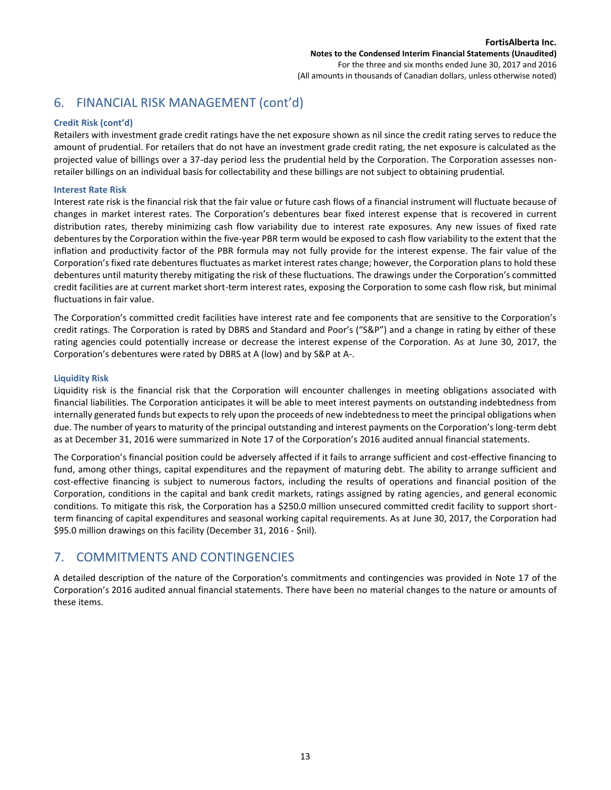## 6. FINANCIAL RISK MANAGEMENT (cont'd)

#### **Credit Risk (cont'd)**

Retailers with investment grade credit ratings have the net exposure shown as nil since the credit rating serves to reduce the amount of prudential. For retailers that do not have an investment grade credit rating, the net exposure is calculated as the projected value of billings over a 37-day period less the prudential held by the Corporation. The Corporation assesses nonretailer billings on an individual basis for collectability and these billings are not subject to obtaining prudential.

#### **Interest Rate Risk**

Interest rate risk is the financial risk that the fair value or future cash flows of a financial instrument will fluctuate because of changes in market interest rates. The Corporation's debentures bear fixed interest expense that is recovered in current distribution rates, thereby minimizing cash flow variability due to interest rate exposures. Any new issues of fixed rate debentures by the Corporation within the five-year PBR term would be exposed to cash flow variability to the extent that the inflation and productivity factor of the PBR formula may not fully provide for the interest expense. The fair value of the Corporation's fixed rate debentures fluctuates as market interest rates change; however, the Corporation plans to hold these debentures until maturity thereby mitigating the risk of these fluctuations. The drawings under the Corporation's committed credit facilities are at current market short-term interest rates, exposing the Corporation to some cash flow risk, but minimal fluctuations in fair value.

The Corporation's committed credit facilities have interest rate and fee components that are sensitive to the Corporation's credit ratings. The Corporation is rated by DBRS and Standard and Poor's ("S&P") and a change in rating by either of these rating agencies could potentially increase or decrease the interest expense of the Corporation. As at June 30, 2017, the Corporation's debentures were rated by DBRS at A (low) and by S&P at A-.

#### **Liquidity Risk**

Liquidity risk is the financial risk that the Corporation will encounter challenges in meeting obligations associated with financial liabilities. The Corporation anticipates it will be able to meet interest payments on outstanding indebtedness from internally generated funds but expects to rely upon the proceeds of new indebtedness to meet the principal obligations when due. The number of years to maturity of the principal outstanding and interest payments on the Corporation's long-term debt as at December 31, 2016 were summarized in Note 17 of the Corporation's 2016 audited annual financial statements.

The Corporation's financial position could be adversely affected if it fails to arrange sufficient and cost-effective financing to fund, among other things, capital expenditures and the repayment of maturing debt. The ability to arrange sufficient and cost-effective financing is subject to numerous factors, including the results of operations and financial position of the Corporation, conditions in the capital and bank credit markets, ratings assigned by rating agencies, and general economic conditions. To mitigate this risk, the Corporation has a \$250.0 million unsecured committed credit facility to support shortterm financing of capital expenditures and seasonal working capital requirements. As at June 30, 2017, the Corporation had \$95.0 million drawings on this facility (December 31, 2016 - \$nil).

## 7. COMMITMENTS AND CONTINGENCIES

A detailed description of the nature of the Corporation's commitments and contingencies was provided in Note 17 of the Corporation's 2016 audited annual financial statements. There have been no material changes to the nature or amounts of these items.